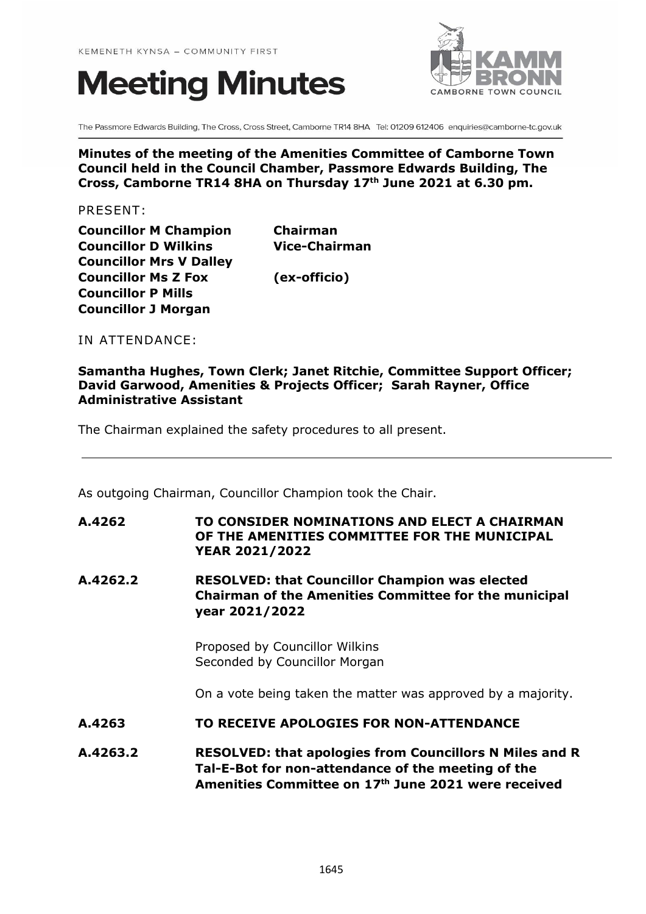# **Meeting Minutes**



The Passmore Edwards Building, The Cross, Cross Street, Camborne TR14 8HA Tel: 01209 612406 enquiries@camborne-tc.gov.uk

#### **Minutes of the meeting of the Amenities Committee of Camborne Town Council held in the Council Chamber, Passmore Edwards Building, The Cross, Camborne TR14 8HA on Thursday 17th June 2021 at 6.30 pm.**

PRESENT:

**Councillor M Champion Chairman Councillor D Wilkins Vice-Chairman Councillor Mrs V Dalley Councillor Ms Z Fox (ex-officio) Councillor P Mills Councillor J Morgan**

IN ATTENDANCE:

**Samantha Hughes, Town Clerk; Janet Ritchie, Committee Support Officer; David Garwood, Amenities & Projects Officer; Sarah Rayner, Office Administrative Assistant**

The Chairman explained the safety procedures to all present.

As outgoing Chairman, Councillor Champion took the Chair.

#### **A.4262 TO CONSIDER NOMINATIONS AND ELECT A CHAIRMAN OF THE AMENITIES COMMITTEE FOR THE MUNICIPAL YEAR 2021/2022**

**A.4262.2 RESOLVED: that Councillor Champion was elected Chairman of the Amenities Committee for the municipal year 2021/2022**

> Proposed by Councillor Wilkins Seconded by Councillor Morgan

On a vote being taken the matter was approved by a majority.

- **A.4263 TO RECEIVE APOLOGIES FOR NON-ATTENDANCE**
- **A.4263.2 RESOLVED: that apologies from Councillors N Miles and R Tal-E-Bot for non-attendance of the meeting of the Amenities Committee on 17th June 2021 were received**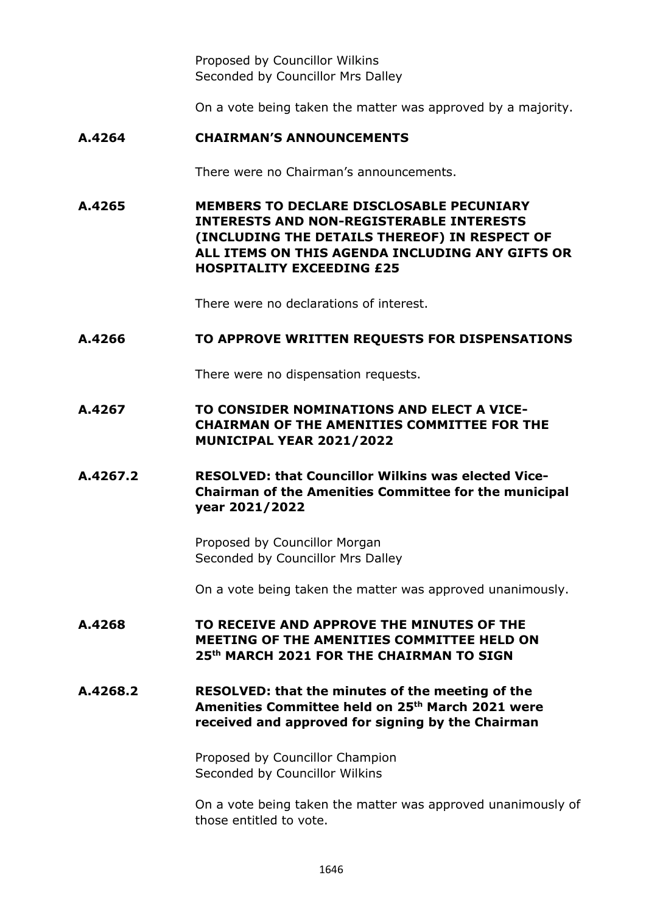Proposed by Councillor Wilkins Seconded by Councillor Mrs Dalley

On a vote being taken the matter was approved by a majority.

## **A.4264 CHAIRMAN'S ANNOUNCEMENTS**

There were no Chairman's announcements.

**A.4265 MEMBERS TO DECLARE DISCLOSABLE PECUNIARY INTERESTS AND NON-REGISTERABLE INTERESTS (INCLUDING THE DETAILS THEREOF) IN RESPECT OF ALL ITEMS ON THIS AGENDA INCLUDING ANY GIFTS OR HOSPITALITY EXCEEDING £25**

There were no declarations of interest.

## **A.4266 TO APPROVE WRITTEN REQUESTS FOR DISPENSATIONS**

There were no dispensation requests.

**A.4267 TO CONSIDER NOMINATIONS AND ELECT A VICE-CHAIRMAN OF THE AMENITIES COMMITTEE FOR THE MUNICIPAL YEAR 2021/2022**

## **A.4267.2 RESOLVED: that Councillor Wilkins was elected Vice-Chairman of the Amenities Committee for the municipal year 2021/2022**

Proposed by Councillor Morgan Seconded by Councillor Mrs Dalley

On a vote being taken the matter was approved unanimously.

**A.4268 TO RECEIVE AND APPROVE THE MINUTES OF THE MEETING OF THE AMENITIES COMMITTEE HELD ON 25 th MARCH 2021 FOR THE CHAIRMAN TO SIGN** 

## **A.4268.2 RESOLVED: that the minutes of the meeting of the Amenities Committee held on 25 th March 2021 were received and approved for signing by the Chairman**

Proposed by Councillor Champion Seconded by Councillor Wilkins

On a vote being taken the matter was approved unanimously of those entitled to vote.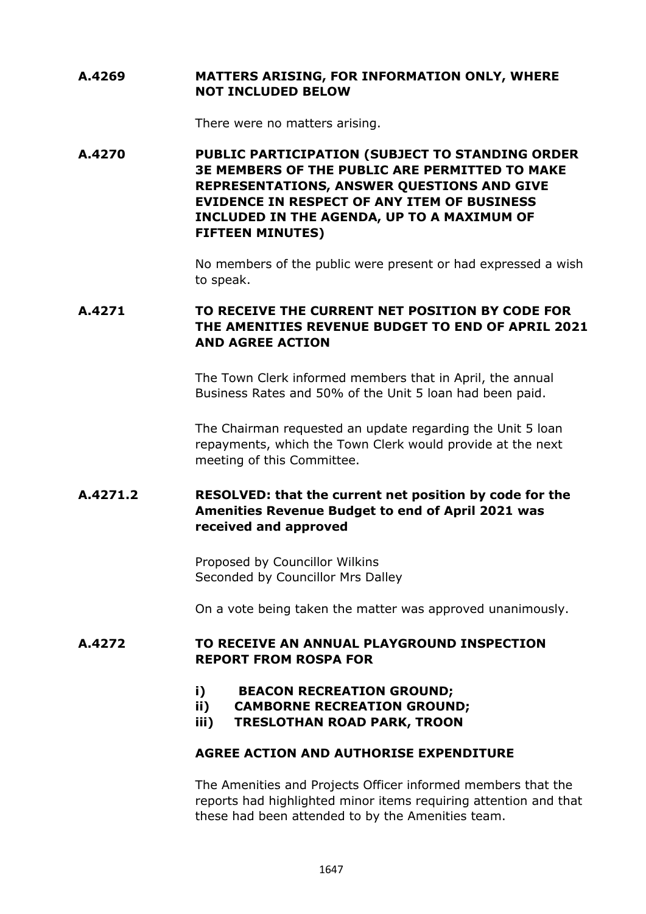# **A.4269 MATTERS ARISING, FOR INFORMATION ONLY, WHERE NOT INCLUDED BELOW**

There were no matters arising.

**A.4270 PUBLIC PARTICIPATION (SUBJECT TO STANDING ORDER 3E MEMBERS OF THE PUBLIC ARE PERMITTED TO MAKE REPRESENTATIONS, ANSWER QUESTIONS AND GIVE EVIDENCE IN RESPECT OF ANY ITEM OF BUSINESS INCLUDED IN THE AGENDA, UP TO A MAXIMUM OF FIFTEEN MINUTES)**

> No members of the public were present or had expressed a wish to speak.

## **A.4271 TO RECEIVE THE CURRENT NET POSITION BY CODE FOR THE AMENITIES REVENUE BUDGET TO END OF APRIL 2021 AND AGREE ACTION**

The Town Clerk informed members that in April, the annual Business Rates and 50% of the Unit 5 loan had been paid.

The Chairman requested an update regarding the Unit 5 loan repayments, which the Town Clerk would provide at the next meeting of this Committee.

# **A.4271.2 RESOLVED: that the current net position by code for the Amenities Revenue Budget to end of April 2021 was received and approved**

Proposed by Councillor Wilkins Seconded by Councillor Mrs Dalley

On a vote being taken the matter was approved unanimously.

## **A.4272 TO RECEIVE AN ANNUAL PLAYGROUND INSPECTION REPORT FROM ROSPA FOR**

- **i) BEACON RECREATION GROUND;**
- **ii) CAMBORNE RECREATION GROUND;**
- **iii) TRESLOTHAN ROAD PARK, TROON**

## **AGREE ACTION AND AUTHORISE EXPENDITURE**

The Amenities and Projects Officer informed members that the reports had highlighted minor items requiring attention and that these had been attended to by the Amenities team.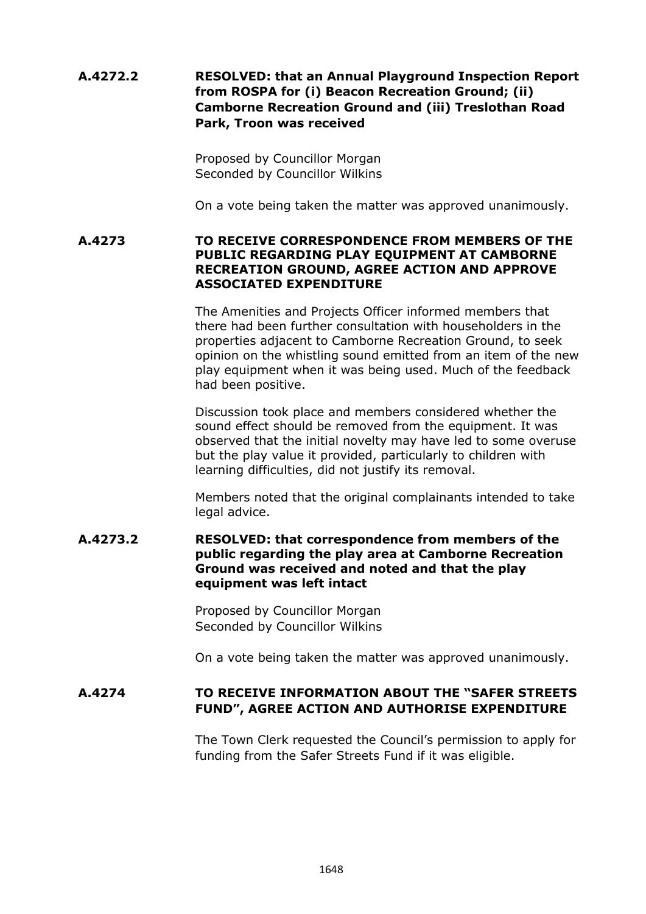# **A.4272.2 RESOLVED: that an Annual Playground Inspection Report from ROSPA for (i) Beacon Recreation Ground; (ii) Camborne Recreation Ground and (iii) Treslothan Road Park, Troon was received**

Proposed by Councillor Morgan Seconded by Councillor Wilkins

On a vote being taken the matter was approved unanimously.

#### **A.4273 TO RECEIVE CORRESPONDENCE FROM MEMBERS OF THE PUBLIC REGARDING PLAY EQUIPMENT AT CAMBORNE RECREATION GROUND, AGREE ACTION AND APPROVE ASSOCIATED EXPENDITURE**

The Amenities and Projects Officer informed members that there had been further consultation with householders in the properties adjacent to Camborne Recreation Ground, to seek opinion on the whistling sound emitted from an item of the new play equipment when it was being used. Much of the feedback had been positive.

Discussion took place and members considered whether the sound effect should be removed from the equipment. It was observed that the initial novelty may have led to some overuse but the play value it provided, particularly to children with learning difficulties, did not justify its removal.

Members noted that the original complainants intended to take legal advice.

#### **A.4273.2 RESOLVED: that correspondence from members of the public regarding the play area at Camborne Recreation Ground was received and noted and that the play equipment was left intact**

Proposed by Councillor Morgan Seconded by Councillor Wilkins

On a vote being taken the matter was approved unanimously.

## **A.4274 TO RECEIVE INFORMATION ABOUT THE "SAFER STREETS FUND", AGREE ACTION AND AUTHORISE EXPENDITURE**

The Town Clerk requested the Council's permission to apply for funding from the Safer Streets Fund if it was eligible.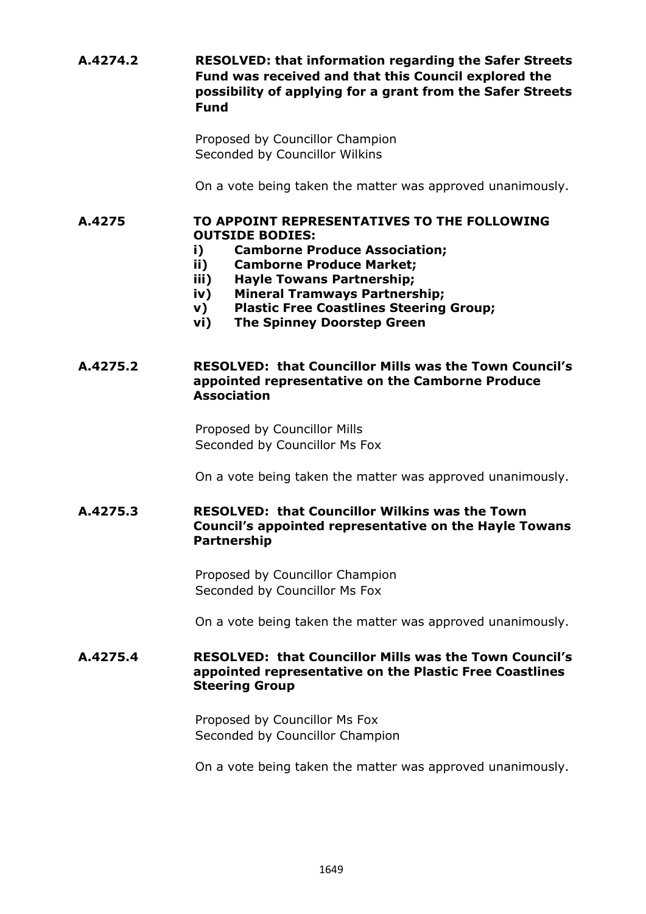# **A.4274.2 RESOLVED: that information regarding the Safer Streets Fund was received and that this Council explored the possibility of applying for a grant from the Safer Streets Fund**

Proposed by Councillor Champion Seconded by Councillor Wilkins

On a vote being taken the matter was approved unanimously.

#### **A.4275 TO APPOINT REPRESENTATIVES TO THE FOLLOWING OUTSIDE BODIES:**

- **i) Camborne Produce Association;**
- **ii) Camborne Produce Market;**
- **iii) Hayle Towans Partnership;**
- **iv) Mineral Tramways Partnership;**
- **v) Plastic Free Coastlines Steering Group;**
- **vi) The Spinney Doorstep Green**

#### **A.4275.2 RESOLVED: that Councillor Mills was the Town Council's appointed representative on the Camborne Produce Association**

Proposed by Councillor Mills Seconded by Councillor Ms Fox

On a vote being taken the matter was approved unanimously.

## **A.4275.3 RESOLVED: that Councillor Wilkins was the Town Council's appointed representative on the Hayle Towans Partnership**

Proposed by Councillor Champion Seconded by Councillor Ms Fox

On a vote being taken the matter was approved unanimously.

## **A.4275.4 RESOLVED: that Councillor Mills was the Town Council's appointed representative on the Plastic Free Coastlines Steering Group**

Proposed by Councillor Ms Fox Seconded by Councillor Champion

On a vote being taken the matter was approved unanimously.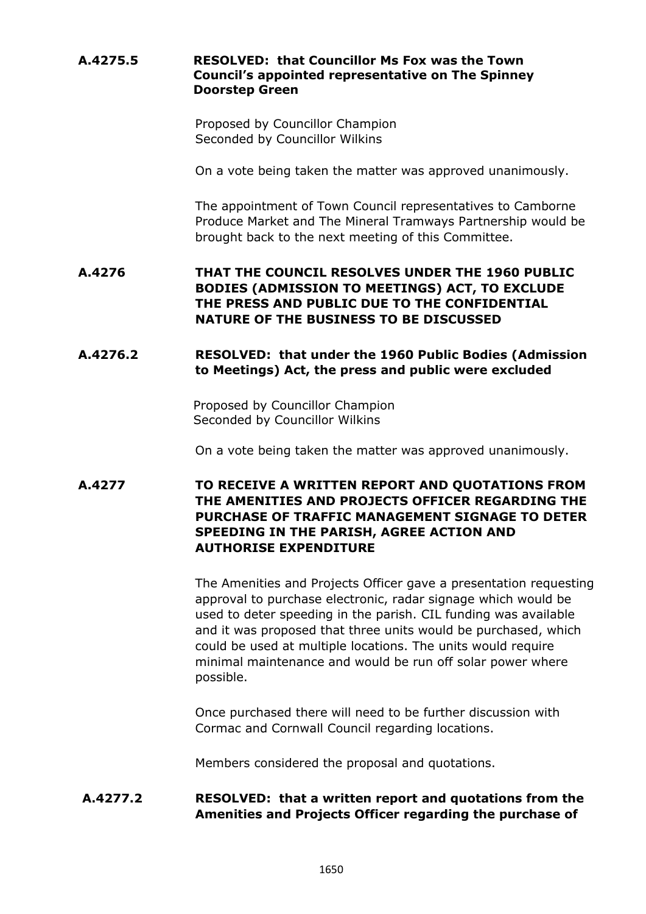## **A.4275.5 RESOLVED: that Councillor Ms Fox was the Town Council's appointed representative on The Spinney Doorstep Green**

Proposed by Councillor Champion Seconded by Councillor Wilkins

On a vote being taken the matter was approved unanimously.

The appointment of Town Council representatives to Camborne Produce Market and The Mineral Tramways Partnership would be brought back to the next meeting of this Committee.

**A.4276 THAT THE COUNCIL RESOLVES UNDER THE 1960 PUBLIC BODIES (ADMISSION TO MEETINGS) ACT, TO EXCLUDE THE PRESS AND PUBLIC DUE TO THE CONFIDENTIAL NATURE OF THE BUSINESS TO BE DISCUSSED**

# **A.4276.2 RESOLVED: that under the 1960 Public Bodies (Admission to Meetings) Act, the press and public were excluded**

Proposed by Councillor Champion Seconded by Councillor Wilkins

On a vote being taken the matter was approved unanimously.

# **A.4277 TO RECEIVE A WRITTEN REPORT AND QUOTATIONS FROM THE AMENITIES AND PROJECTS OFFICER REGARDING THE PURCHASE OF TRAFFIC MANAGEMENT SIGNAGE TO DETER SPEEDING IN THE PARISH, AGREE ACTION AND AUTHORISE EXPENDITURE**

The Amenities and Projects Officer gave a presentation requesting approval to purchase electronic, radar signage which would be used to deter speeding in the parish. CIL funding was available and it was proposed that three units would be purchased, which could be used at multiple locations. The units would require minimal maintenance and would be run off solar power where possible.

Once purchased there will need to be further discussion with Cormac and Cornwall Council regarding locations.

Members considered the proposal and quotations.

## **A.4277.2 RESOLVED: that a written report and quotations from the Amenities and Projects Officer regarding the purchase of**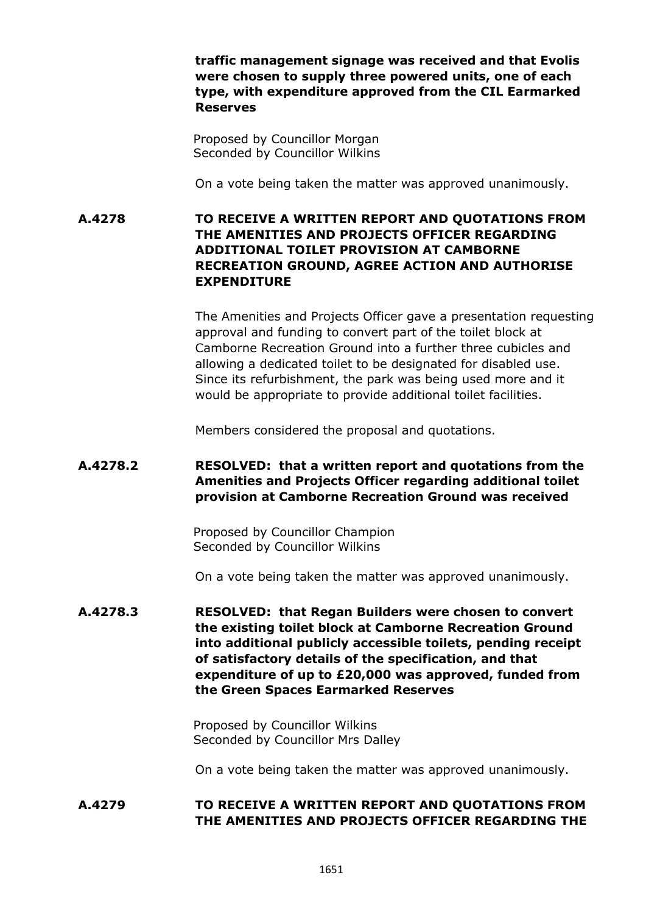**traffic management signage was received and that Evolis were chosen to supply three powered units, one of each type, with expenditure approved from the CIL Earmarked Reserves**

Proposed by Councillor Morgan Seconded by Councillor Wilkins

On a vote being taken the matter was approved unanimously.

**A.4278 TO RECEIVE A WRITTEN REPORT AND QUOTATIONS FROM THE AMENITIES AND PROJECTS OFFICER REGARDING ADDITIONAL TOILET PROVISION AT CAMBORNE RECREATION GROUND, AGREE ACTION AND AUTHORISE EXPENDITURE**

> The Amenities and Projects Officer gave a presentation requesting approval and funding to convert part of the toilet block at Camborne Recreation Ground into a further three cubicles and allowing a dedicated toilet to be designated for disabled use. Since its refurbishment, the park was being used more and it would be appropriate to provide additional toilet facilities.

Members considered the proposal and quotations.

## **A.4278.2 RESOLVED: that a written report and quotations from the Amenities and Projects Officer regarding additional toilet provision at Camborne Recreation Ground was received**

Proposed by Councillor Champion Seconded by Councillor Wilkins

On a vote being taken the matter was approved unanimously.

**A.4278.3 RESOLVED: that Regan Builders were chosen to convert the existing toilet block at Camborne Recreation Ground into additional publicly accessible toilets, pending receipt of satisfactory details of the specification, and that expenditure of up to £20,000 was approved, funded from the Green Spaces Earmarked Reserves** 

> Proposed by Councillor Wilkins Seconded by Councillor Mrs Dalley

On a vote being taken the matter was approved unanimously.

#### **A.4279 TO RECEIVE A WRITTEN REPORT AND QUOTATIONS FROM THE AMENITIES AND PROJECTS OFFICER REGARDING THE**